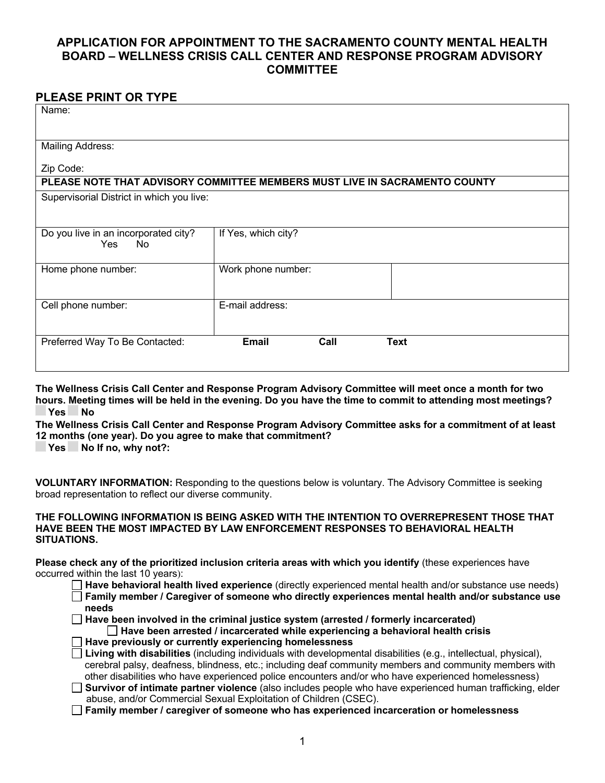## **PLEASE PRINT OR TYPE**

| LLAVLININI VIII II L                                                       |                     |      |             |  |  |
|----------------------------------------------------------------------------|---------------------|------|-------------|--|--|
| Name:                                                                      |                     |      |             |  |  |
|                                                                            |                     |      |             |  |  |
| <b>Mailing Address:</b>                                                    |                     |      |             |  |  |
| Zip Code:                                                                  |                     |      |             |  |  |
| PLEASE NOTE THAT ADVISORY COMMITTEE MEMBERS MUST LIVE IN SACRAMENTO COUNTY |                     |      |             |  |  |
| Supervisorial District in which you live:                                  |                     |      |             |  |  |
|                                                                            |                     |      |             |  |  |
| Do you live in an incorporated city?<br>Yes<br>No                          | If Yes, which city? |      |             |  |  |
|                                                                            |                     |      |             |  |  |
| Home phone number:                                                         | Work phone number:  |      |             |  |  |
|                                                                            |                     |      |             |  |  |
| Cell phone number:                                                         | E-mail address:     |      |             |  |  |
|                                                                            |                     |      |             |  |  |
| Preferred Way To Be Contacted:                                             | <b>Email</b>        | Call | <b>Text</b> |  |  |
|                                                                            |                     |      |             |  |  |
|                                                                            |                     |      |             |  |  |

**The Wellness Crisis Call Center and Response Program Advisory Committee will meet once a month for two hours. Meeting times will be held in the evening. Do you have the time to commit to attending most meetings?** ⬜ **Yes** ⬜ **No**

**The Wellness Crisis Call Center and Response Program Advisory Committee asks for a commitment of at least 12 months (one year). Do you agree to make that commitment?**

⬜ **Yes** ⬜ **No If no, why not?:** 

**VOLUNTARY INFORMATION:** Responding to the questions below is voluntary. The Advisory Committee is seeking broad representation to reflect our diverse community.

#### **THE FOLLOWING INFORMATION IS BEING ASKED WITH THE INTENTION TO OVERREPRESENT THOSE THAT HAVE BEEN THE MOST IMPACTED BY LAW ENFORCEMENT RESPONSES TO BEHAVIORAL HEALTH SITUATIONS.**

**Please check any of the prioritized inclusion criteria areas with which you identify (these experiences have** occurred within the last 10 years):

- **Have behavioral health lived experience** (directly experienced mental health and/or substance use needs) **Family member / Caregiver of someone who directly experiences mental health and/or substance use**
- **needs**

**Have been involved in the criminal justice system (arrested / formerly incarcerated) Have been arrested / incarcerated while experiencing a behavioral health crisis**

- **Have previously or currently experiencing homelessness**
- **Living with disabilities** (including individuals with developmental disabilities (e.g., intellectual, physical), cerebral palsy, deafness, blindness, etc.; including deaf community members and community members with other disabilities who have experienced police encounters and/or who have experienced homelessness)
- **Survivor of intimate partner violence** (also includes people who have experienced human trafficking, elder  $\Box$ abuse, and/or Commercial Sexual Exploitation of Children (CSEC).
- **Family member / caregiver of someone who has experienced incarceration or homelessness**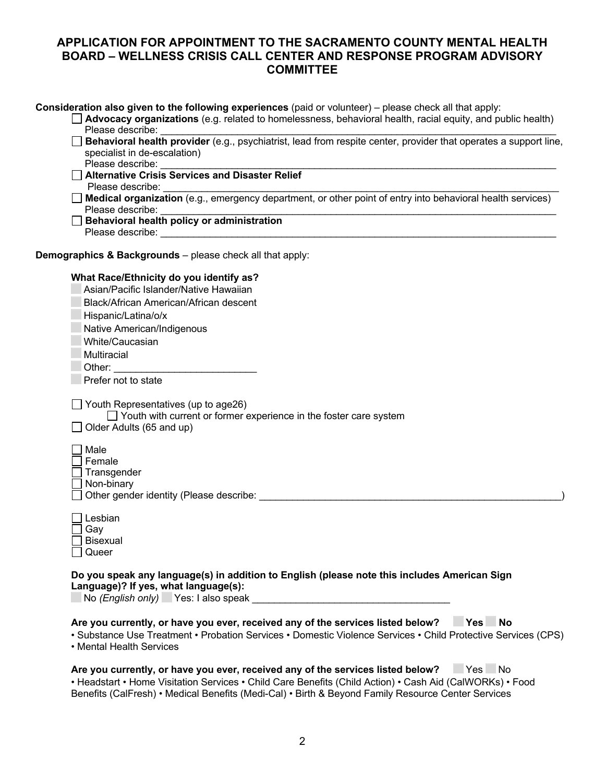**Consideration also given to the following experiences** (paid or volunteer) – please check all that apply:

- **Advocacy organizations** (e.g. related to homelessness, behavioral health, racial equity, and public health) Please describe:
- **Behavioral health provider** (e.g., psychiatrist, lead from respite center, provider that operates a support line, specialist in de-escalation) Please describe:
- **Alternative Crisis Services and Disaster Relief** Please describe:
- **Medical organization** (e.g., emergency department, or other point of entry into behavioral health services) Please describe:
- **Behavioral health policy or administration**
	- Please describe:  $\Box$

**Demographics & Backgrounds** – please check all that apply:

# **What Race/Ethnicity do you identify as?**

| Asian/Pacific Islander/Native Hawaiian                                                                                                                                                                                                                                        |  |
|-------------------------------------------------------------------------------------------------------------------------------------------------------------------------------------------------------------------------------------------------------------------------------|--|
| Black/African American/African descent                                                                                                                                                                                                                                        |  |
| Hispanic/Latina/o/x                                                                                                                                                                                                                                                           |  |
| Native American/Indigenous                                                                                                                                                                                                                                                    |  |
| White/Caucasian                                                                                                                                                                                                                                                               |  |
| Multiracial                                                                                                                                                                                                                                                                   |  |
|                                                                                                                                                                                                                                                                               |  |
| Prefer not to state                                                                                                                                                                                                                                                           |  |
| Youth Representatives (up to age26)<br>$\Box$ Youth with current or former experience in the foster care system<br>$\Box$ Older Adults (65 and up)                                                                                                                            |  |
| Male<br>Female<br>Transgender<br>Non-binary<br>Other gender identity (Please describe: example of the state of the state of the state of the state of the state of the state of the state of the state of the state of the state of the state of the state of the state of th |  |
| Lesbian<br>Gay<br><b>Bisexual</b><br>Queer                                                                                                                                                                                                                                    |  |
| Do you speak any language(s) in addition to English (please note this includes American Sign<br>Language)? If yes, what language(s):<br>No (English only) Yes: I also speak                                                                                                   |  |

**Are you currently, or have you ever, received any of the services listed below?** ⬜ **Yes** ⬜ **No**

• Substance Use Treatment • Probation Services • Domestic Violence Services • Child Protective Services (CPS) • Mental Health Services

| Are you currently, or have you ever, received any of the services listed below?                          | Yes No |
|----------------------------------------------------------------------------------------------------------|--------|
| • Headstart • Home Visitation Services • Child Care Benefits (Child Action) • Cash Aid (CalWORKs) • Food |        |
| Benefits (CalFresh) • Medical Benefits (Medi-Cal) • Birth & Beyond Family Resource Center Services       |        |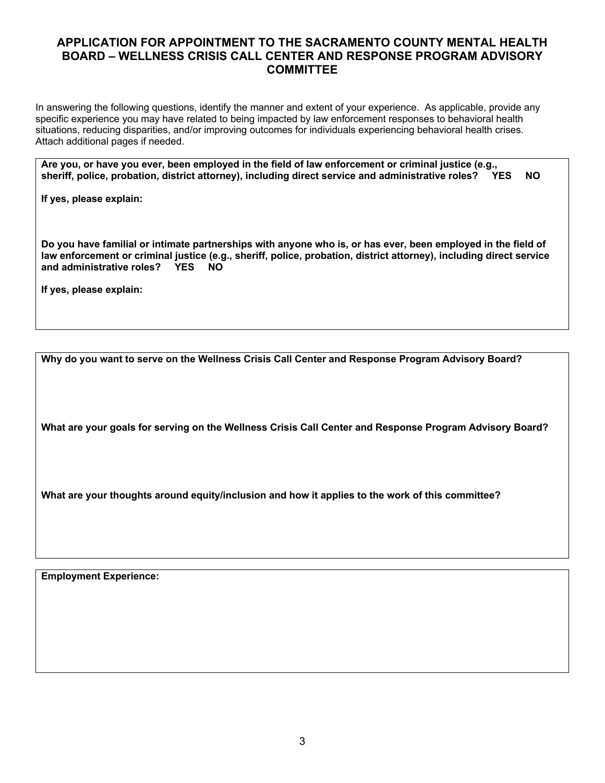In answering the following questions, identify the manner and extent of your experience. As applicable, provide any specific experience you may have related to being impacted by law enforcement responses to behavioral health situations, reducing disparities, and/or improving outcomes for individuals experiencing behavioral health crises. Attach additional pages if needed.

**Are you, or have you ever, been employed in the field of law enforcement or criminal justice (e.g., sheriff, police, probation, district attorney), including direct service and administrative roles? YES NO**

**If yes, please explain:**

**Do you have familial or intimate partnerships with anyone who is, or has ever, been employed in the field of law enforcement or criminal justice (e.g., sheriff, police, probation, district attorney), including direct service and administrative roles? YES NO**

**If yes, please explain:**

**Why do you want to serve on the Wellness Crisis Call Center and Response Program Advisory Board?**

**What are your goals for serving on the Wellness Crisis Call Center and Response Program Advisory Board?**

**What are your thoughts around equity/inclusion and how it applies to the work of this committee?** 

**Employment Experience:**